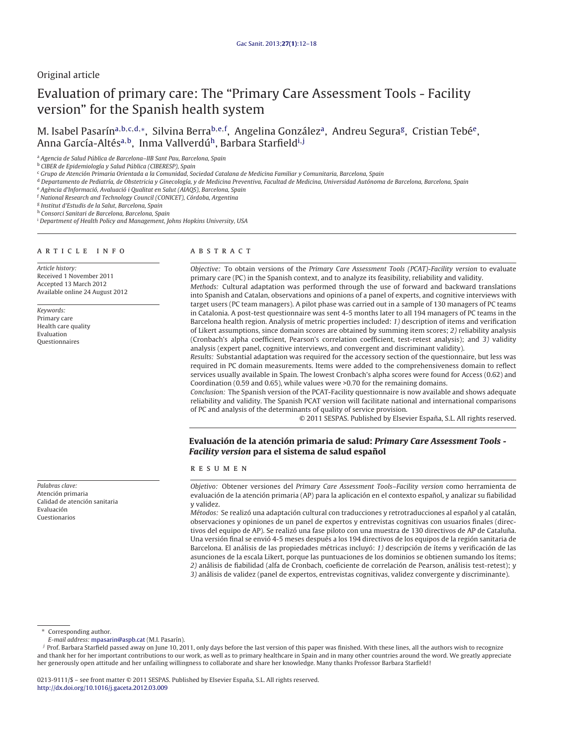# Original article

# Evaluation of primary care: The "Primary Care Assessment Tools - Facility version" for the Spanish health system

# M. Isabel Pasarín<sup>a,b,c,d,</sup>\*, Silvina Berra<sup>b,e,f</sup>, Angelina Gonzálezª, Andreu Segura<sup>g</sup>, Cristian Tebé<sup>e</sup>, Anna García-Altés<sup>a, b</sup>, Inma Vallverdú<sup>h</sup>, Barbara Starfield<sup>i, j</sup>

<sup>a</sup> Agencia de Salud Pública de Barcelona–IIB Sant Pau, Barcelona, Spain

<sup>b</sup> CIBER de Epidemiología y Salud Pública (CIBERESP), Spain

<sup>c</sup> Grupo de Atención Primaria Orientada a la Comunidad, Sociedad Catalana de Medicina Familiar y Comunitaria, Barcelona, Spain

<sup>d</sup> Departamento de Pediatría, de Obstetricia y Ginecología, y de Medicina Preventiva, Facultad de Medicina, Universidad Autónoma de Barcelona, Barcelona, Spain

<sup>e</sup> Agència d'Informació, Avaluació i Qualitat en Salut (AIAQS), Barcelona, Spain

<sup>f</sup> National Research and Technology Council (CONICET), Córdoba, Argentina

<sup>g</sup> Institut d'Estudis de la Salut, Barcelona, Spain

<sup>h</sup> Consorci Sanitari de Barcelona, Barcelona, Spain

<sup>i</sup> Department of Health Policy and Management, Johns Hopkins University, USA

#### article info

Article history: Received 1 November 2011 Accepted 13 March 2012 Available online 24 August 2012

Keywords: Primary care Health care quality Evaluation Questionnaires

Palabras clave: Atención primaria Calidad de atención sanitaria Evaluación Cuestionarios

# ABSTRACT

Objective: To obtain versions of the Primary Care Assessment Tools (PCAT)-Facility version to evaluate primary care (PC) in the Spanish context, and to analyze its feasibility, reliability and validity. Methods: Cultural adaptation was performed through the use of forward and backward translations

into Spanish and Catalan, observations and opinions of a panel of experts, and cognitive interviews with target users (PC team managers). A pilot phase was carried out in a sample of 130 managers of PC teams in Catalonia. A post-test questionnaire was sent 4-5 months later to all 194 managers of PC teams in the Barcelona health region. Analysis of metric properties included: 1) description of items and verification of Likert assumptions, since domain scores are obtained by summing item scores; 2) reliability analysis (Cronbach's alpha coefficient, Pearson's correlation coefficient, test-retest analysis); and 3) validity analysis (expert panel, cognitive interviews, and convergent and discriminant validity).

Results: Substantial adaptation was required for the accessory section of the questionnaire, but less was required in PC domain measurements. Items were added to the comprehensiveness domain to reflect services usually available in Spain. The lowest Cronbach's alpha scores were found for Access (0.62) and Coordination (0.59 and 0.65), while values were >0.70 for the remaining domains.

Conclusion: The Spanish version of the PCAT-Facility questionnaire is now available and shows adequate reliability and validity. The Spanish PCAT version will facilitate national and international comparisons of PC and analysis of the determinants of quality of service provision.

© 2011 SESPAS. Published by Elsevier España, S.L. All rights reserved.

# **Evaluación de la atención primaria de salud: Primary Care Assessment Tools - Facility version para el sistema de salud espanol ˜**

#### RESUMEN

Objetivo: Obtener versiones del Primary Care Assessment Tools–Facility version como herramienta de evaluación de la atención primaria (AP) para la aplicación en el contexto español, y analizar su fiabilidad y validez.

Métodos: Se realizó una adaptación cultural con traducciones y retrotraducciones al español y al catalán, observaciones y opiniones de un panel de expertos y entrevistas cognitivas con usuarios finales (directivos del equipo de AP). Se realizó una fase piloto con una muestra de 130 directivos de AP de Cataluña. Una versión final se envió 4-5 meses después a los 194 directivos de los equipos de la región sanitaria de Barcelona. El análisis de las propiedades métricas incluyó: 1) descripción de ítems y verificación de las asunciones de la escala Likert, porque las puntuaciones de los dominios se obtienen sumando los ítems; 2) análisis de fiabilidad (alfa de Cronbach, coeficiente de correlación de Pearson, análisis test-retest); y 3) análisis de validez (panel de expertos, entrevistas cognitivas, validez convergente y discriminante).

∗ Corresponding author.

E-mail address: [mpasarin@aspb.cat](mailto:mpasarin@aspb.cat) (M.I. Pasarín).

 $j$  Prof. Barbara Starfield passed away on June 10, 2011, only days before the last version of this paper was finished. With these lines, all the authors wish to recognize and thank her for her important contributions to our work, as well as to primary healthcare in Spain and in many other countries around the word. We greatly appreciate her generously open attitude and her unfailing willingness to collaborate and share her knowledge. Many thanks Professor Barbara Starfield!

0213-9111/\$ – see front matter © 2011 SESPAS. Published by Elsevier España, S.L. All rights reserved. [http://dx.doi.org/10.1016/j.gaceta.2012.03.009](dx.doi.org/10.1016/j.gaceta.2012.03.009)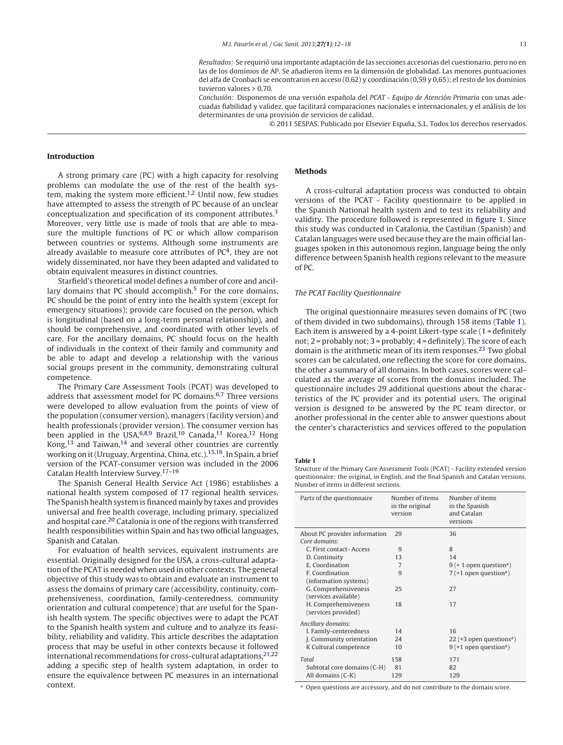Conclusión: Disponemos de una versión española del PCAT - Equipo de Atención Primaria con unas adecuadas fiabilidad y validez, que facilitará comparaciones nacionales e internacionales, y el análisis de los determinantes de una provisión de servicios de calidad.

© 2011 SESPAS. Publicado por Elsevier España, S.L. Todos los derechos reservados.

#### **Introduction**

A strong primary care (PC) with a high capacity for resolving problems can modulate the use of the rest of the health system, making the system more efficient.[1,2](#page-6-0) Until now, few studies have attempted to assess the strength of PC because of an unclear conceptualization and specification of its component attributes[.3](#page-6-0) Moreover, very little use is made of tools that are able to measure the multiple functions of PC or which allow comparison between countries or systems. Although some instruments are already available to measure core attributes of  $PC<sup>4</sup>$ , they are not widely disseminated, nor have they been adapted and validated to obtain equivalent measures in distinct countries.

Starfield's theoretical model defines a number of core and ancil-lary domains that PC should accomplish.<sup>[5](#page-6-0)</sup> For the core domains, PC should be the point of entry into the health system (except for emergency situations); provide care focused on the person, which is longitudinal (based on a long-term personal relationship), and should be comprehensive, and coordinated with other levels of care. For the ancillary domains, PC should focus on the health of individuals in the context of their family and community and be able to adapt and develop a relationship with the various social groups present in the community, demonstrating cultural competence.

The Primary Care Assessment Tools (PCAT) was developed to address that assessment model for PC domains.<sup>6,7</sup> Three versions were developed to allow evaluation from the points of view of the population (consumer version), managers (facility version) and health professionals (provider version). The consumer version has been applied in the USA,<sup>6,8,9</sup> Brazil,<sup>10</sup> Canada,<sup>[11](#page-6-0)</sup> Korea,<sup>12</sup> Hong Kong,<sup>13</sup> and Taiwan,<sup>14</sup> and several other countries are currently working on it (Uruguay, Argentina, China, etc.).[15,16. I](#page-6-0)n Spain, a brief version of the PCAT-consumer version was included in the 2006 Catalan Health Interview Survey.[17–19](#page-6-0)

The Spanish General Health Service Act (1986) establishes a national health system composed of 17 regional health services. The Spanish health system is financed mainly by taxes and provides universal and free health coverage, including primary, specialized and hospital care.[20](#page-6-0) Catalonia is one of the regions with transferred health responsibilities within Spain and has two official languages, Spanish and Catalan.

For evaluation of health services, equivalent instruments are essential. Originally designed for the USA, a cross-cultural adaptation of the PCAT is needed when used in other contexts. The general objective of this study was to obtain and evaluate an instrument to assess the domains of primary care (accessibility, continuity, comprehensiveness, coordination, family-centeredness, community orientation and cultural competence) that are useful for the Spanish health system. The specific objectives were to adapt the PCAT to the Spanish health system and culture and to analyze its feasibility, reliability and validity. This article describes the adaptation process that may be useful in other contexts because it followed international recommendations for cross-cultural adaptations, [21,22](#page-6-0) adding a specific step of health system adaptation, in order to ensure the equivalence between PC measures in an international context.

# **Methods**

A cross-cultural adaptation process was conducted to obtain versions of the PCAT - Facility questionnaire to be applied in the Spanish National health system and to test its reliability and validity. The procedure followed is represented in [figure 1.](#page-2-0) Since this study was conducted in Catalonia, the Castilian (Spanish) and Catalan languages were used because they are the main official languages spoken in this autonomous region, language being the only difference between Spanish health regions relevant to the measure of PC.

#### The PCAT Facility Questionnaire

The original questionnaire measures seven domains of PC (two of them divided in two subdomains), through 158 items (Table 1). Each item is answered by a 4-point Likert-type scale (1 = definitely not; 2 = probably not; 3 = probably; 4 = definitely). The score of each domain is the arithmetic mean of its item responses.<sup>23</sup> Two global scores can be calculated, one reflecting the score for core domains, the other a summary of all domains. In both cases, scores were calculated as the average of scores from the domains included. The questionnaire includes 29 additional questions about the characteristics of the PC provider and its potential users. The original version is designed to be answered by the PC team director, or another professional in the center able to answer questions about the center's characteristics and services offered to the population

#### **Table 1**

Structure of the Primary Care Assessment Tools (PCAT) - Facility extended version questionnaire: the original, in English, and the final Spanish and Catalan versions. Number of items in different sections.

| Parts of the questionnaire    | Number of items<br>in the original<br>version | Number of items<br>in the Spanish<br>and Catalan<br>versions |
|-------------------------------|-----------------------------------------------|--------------------------------------------------------------|
| About PC provider information | 29                                            | 36                                                           |
| Core domains:                 |                                               |                                                              |
| C. First contact-Access       | 9                                             | 8                                                            |
| D. Continuity                 | 13                                            | 14                                                           |
| E. Coordination               | 7                                             | $9 (+ 1$ open question <sup>a</sup> )                        |
| F. Coordination               | 9                                             | $7 (+1)$ open question <sup>a</sup> )                        |
| (information systems)         |                                               |                                                              |
| G. Comprehensiveness          | 25                                            | 27                                                           |
| (services available)          |                                               |                                                              |
| H. Comprehensiveness          | 18                                            | 17                                                           |
| (services provided)           |                                               |                                                              |
| Ancillary domains:            |                                               |                                                              |
| I. Family-centeredness        | 14                                            | 16                                                           |
| J. Community orientation      | 24                                            | $22 (+3)$ open questions <sup>a</sup> )                      |
| K Cultural competence         | 10                                            | $9 (+1)$ open question <sup>a</sup> )                        |
|                               |                                               |                                                              |
| <b>Total</b>                  | 158                                           | 171                                                          |
| Subtotal core domains (C-H)   | 81                                            | 82                                                           |
| All domains (C-K)             | 129                                           | 129                                                          |

<sup>a</sup> Open questions are accessory, and do not contribute to the domain score.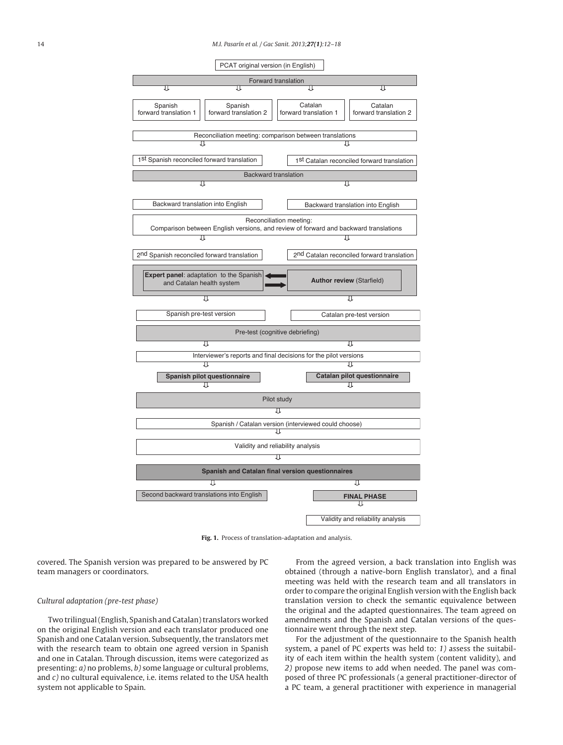<span id="page-2-0"></span>

**Fig. 1.** Process of translation-adaptation and analysis.

covered. The Spanish version was prepared to be answered by PC team managers or coordinators.

#### Cultural adaptation (pre-test phase)

Two trilingual (English, Spanish and Catalan) translators worked on the original English version and each translator produced one Spanish and one Catalan version. Subsequently, the translators met with the research team to obtain one agreed version in Spanish and one in Catalan. Through discussion, items were categorized as presenting: a) no problems, b) some language or cultural problems, and c) no cultural equivalence, i.e. items related to the USA health system not applicable to Spain.

From the agreed version, a back translation into English was obtained (through a native-born English translator), and a final meeting was held with the research team and all translators in order to compare the original English version with the English back translation version to check the semantic equivalence between the original and the adapted questionnaires. The team agreed on amendments and the Spanish and Catalan versions of the questionnaire went through the next step.

For the adjustment of the questionnaire to the Spanish health system, a panel of PC experts was held to: 1) assess the suitability of each item within the health system (content validity), and 2) propose new items to add when needed. The panel was composed of three PC professionals (a general practitioner-director of a PC team, a general practitioner with experience in managerial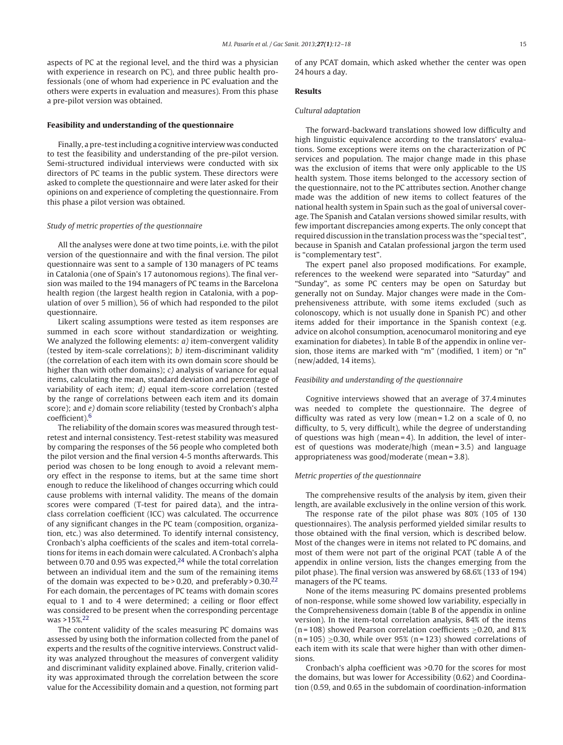aspects of PC at the regional level, and the third was a physician with experience in research on PC), and three public health professionals (one of whom had experience in PC evaluation and the others were experts in evaluation and measures). From this phase a pre-pilot version was obtained.

#### **Feasibility and understanding of the questionnaire**

Finally, a pre-test including a cognitive interview was conducted to test the feasibility and understanding of the pre-pilot version. Semi-structured individual interviews were conducted with six directors of PC teams in the public system. These directors were asked to complete the questionnaire and were later asked for their opinions on and experience of completing the questionnaire. From this phase a pilot version was obtained.

#### Study of metric properties of the questionnaire

All the analyses were done at two time points, i.e. with the pilot version of the questionnaire and with the final version. The pilot questionnaire was sent to a sample of 130 managers of PC teams in Catalonia (one of Spain's 17 autonomous regions). The final version was mailed to the 194 managers of PC teams in the Barcelona health region (the largest health region in Catalonia, with a population of over 5 million), 56 of which had responded to the pilot questionnaire.

Likert scaling assumptions were tested as item responses are summed in each score without standardization or weighting. We analyzed the following elements:  $a$ ) item-convergent validity (tested by item-scale correlations); b) item-discriminant validity (the correlation of each item with its own domain score should be higher than with other domains); c) analysis of variance for equal items, calculating the mean, standard deviation and percentage of variability of each item; d) equal item-score correlation (tested by the range of correlations between each item and its domain score); and e) domain score reliability (tested by Cronbach's alpha coefficient).<sup>[6](#page-6-0)</sup>

The reliability of the domain scores was measured through testretest and internal consistency. Test-retest stability was measured by comparing the responses of the 56 people who completed both the pilot version and the final version 4-5 months afterwards. This period was chosen to be long enough to avoid a relevant memory effect in the response to items, but at the same time short enough to reduce the likelihood of changes occurring which could cause problems with internal validity. The means of the domain scores were compared (T-test for paired data), and the intraclass correlation coefficient (ICC) was calculated. The occurrence of any significant changes in the PC team (composition, organization, etc.) was also determined. To identify internal consistency, Cronbach's alpha coefficients of the scales and item-total correlations for items in each domain were calculated. A Cronbach's alpha between 0.70 and 0.95 was expected, $24$  while the total correlation between an individual item and the sum of the remaining items of the domain was expected to be  $> 0.20$ , and preferably  $> 0.30$ <sup>[22](#page-6-0)</sup> For each domain, the percentages of PC teams with domain scores equal to 1 and to 4 were determined; a ceiling or floor effect was considered to be present when the corresponding percentage was  $>15\%$ <sup>22</sup>

The content validity of the scales measuring PC domains was assessed by using both the information collected from the panel of experts and the results of the cognitive interviews. Construct validity was analyzed throughout the measures of convergent validity and discriminant validity explained above. Finally, criterion validity was approximated through the correlation between the score value for the Accessibility domain and a question, not forming part

of any PCAT domain, which asked whether the center was open 24 hours a day.

#### **Results**

#### Cultural adaptation

The forward-backward translations showed low difficulty and high linguistic equivalence according to the translators' evaluations. Some exceptions were items on the characterization of PC services and population. The major change made in this phase was the exclusion of items that were only applicable to the US health system. Those items belonged to the accessory section of the questionnaire, not to the PC attributes section. Another change made was the addition of new items to collect features of the national health system in Spain such as the goal of universal coverage. The Spanish and Catalan versions showed similar results, with few important discrepancies among experts. The only concept that required discussion in the translation process was the "special test", because in Spanish and Catalan professional jargon the term used is "complementary test".

The expert panel also proposed modifications. For example, references to the weekend were separated into "Saturday" and "Sunday", as some PC centers may be open on Saturday but generally not on Sunday. Major changes were made in the Comprehensiveness attribute, with some items excluded (such as colonoscopy, which is not usually done in Spanish PC) and other items added for their importance in the Spanish context (e.g. advice on alcohol consumption, acenocumarol monitoring and eye examination for diabetes). In table B of the appendix in online version, those items are marked with "m" (modified, 1 item) or "n" (new/added, 14 items).

#### Feasibility and understanding of the questionnaire

Cognitive interviews showed that an average of 37.4 minutes was needed to complete the questionnaire. The degree of difficulty was rated as very low (mean = 1.2 on a scale of 0, no difficulty, to 5, very difficult), while the degree of understanding of questions was high (mean = 4). In addition, the level of interest of questions was moderate/high (mean = 3.5) and language appropriateness was good/moderate (mean = 3.8).

#### Metric properties of the questionnaire

The comprehensive results of the analysis by item, given their length, are available exclusively in the online version of this work.

The response rate of the pilot phase was 80% (105 of 130 questionnaires). The analysis performed yielded similar results to those obtained with the final version, which is described below. Most of the changes were in items not related to PC domains, and most of them were not part of the original PCAT (table A of the appendix in online version, lists the changes emerging from the pilot phase). The final version was answered by 68.6% (133 of 194) managers of the PC teams.

None of the items measuring PC domains presented problems of non-response, while some showed low variability, especially in the Comprehensiveness domain (table B of the appendix in online version). In the item-total correlation analysis, 84% of the items (n = 108) showed Pearson correlation coefficients  $\geq$ 0.20, and 81%  $(n=105) \ge 0.30$ , while over 95%  $(n=123)$  showed correlations of each item with its scale that were higher than with other dimensions.

Cronbach's alpha coefficient was >0.70 for the scores for most the domains, but was lower for Accessibility (0.62) and Coordination (0.59, and 0.65 in the subdomain of coordination-information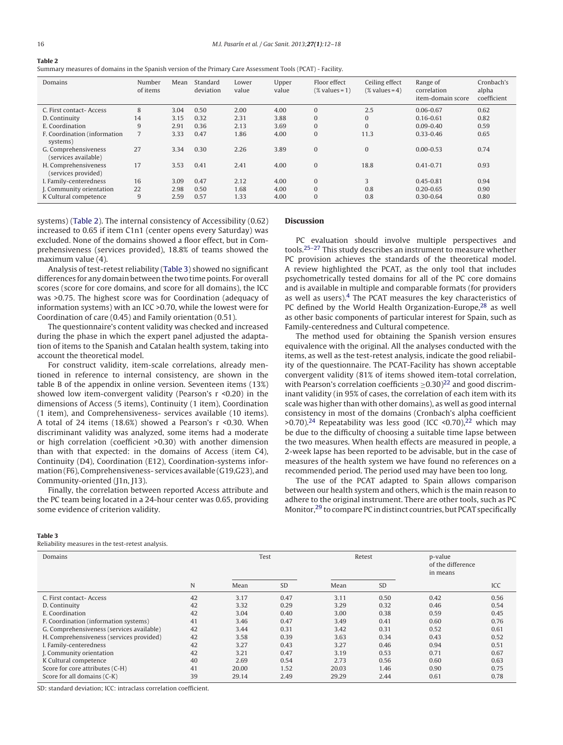**Table 2** Summary measures of domains in the Spanish version of the Primary Care Assessment Tools (PCAT) - Facility.

| Domains                                      | Number<br>of items | Mean | Standard<br>deviation | Lower<br>value | Upper<br>value | Floor effect<br>$(%$ values = 1) | Ceiling effect<br>$%$ values = 4) | Range of<br>correlation<br>item-domain score | Cronbach's<br>alpha<br>coefficient |
|----------------------------------------------|--------------------|------|-----------------------|----------------|----------------|----------------------------------|-----------------------------------|----------------------------------------------|------------------------------------|
| C. First contact-Access                      | 8                  | 3.04 | 0.50                  | 2.00           | 4.00           | $\mathbf{0}$                     | 2.5                               | $0.06 - 0.67$                                | 0.62                               |
| D. Continuity                                | 14                 | 3.15 | 0.32                  | 2.31           | 3.88           | $\Omega$                         | $\Omega$                          | $0.16 - 0.61$                                | 0.82                               |
| E. Coordination                              | 9                  | 2.91 | 0.36                  | 2.13           | 3.69           | $\mathbf{0}$                     | $\Omega$                          | $0.09 - 0.40$                                | 0.59                               |
| F. Coordination (information<br>systems)     |                    | 3.33 | 0.47                  | 1.86           | 4.00           | $\mathbf{0}$                     | 11.3                              | $0.33 - 0.46$                                | 0.65                               |
| G. Comprehensiveness<br>(services available) | 27                 | 3.34 | 0.30                  | 2.26           | 3.89           | $\Omega$                         | $\Omega$                          | $0.00 - 0.53$                                | 0.74                               |
| H. Comprehensiveness<br>(services provided)  | 17                 | 3.53 | 0.41                  | 2.41           | 4.00           | $\mathbf{0}$                     | 18.8                              | $0.41 - 0.71$                                | 0.93                               |
| I. Family-centeredness                       | 16                 | 3.09 | 0.47                  | 2.12           | 4.00           | $\mathbf{0}$                     | 3                                 | $0.45 - 0.81$                                | 0.94                               |
| J. Community orientation                     | 22                 | 2.98 | 0.50                  | 1.68           | 4.00           | $\Omega$                         | 0.8                               | $0.20 - 0.65$                                | 0.90                               |
| K Cultural competence                        | 9                  | 2.59 | 0.57                  | 1.33           | 4.00           | $\Omega$                         | 0.8                               | $0.30 - 0.64$                                | 0.80                               |

systems) (Table 2). The internal consistency of Accessibility (0.62) increased to 0.65 if item C1n1 (center opens every Saturday) was excluded. None of the domains showed a floor effect, but in Comprehensiveness (services provided), 18.8% of teams showed the maximum value (4).

Analysis of test-retest reliability (Table 3) showed no significant differences for any domain between the two time points. For overall scores (score for core domains, and score for all domains), the ICC was >0.75. The highest score was for Coordination (adequacy of information systems) with an ICC >0.70, while the lowest were for Coordination of care (0.45) and Family orientation (0.51).

The questionnaire's content validity was checked and increased during the phase in which the expert panel adjusted the adaptation of items to the Spanish and Catalan health system, taking into account the theoretical model.

For construct validity, item-scale correlations, already mentioned in reference to internal consistency, are shown in the table B of the appendix in online version. Seventeen items (13%) showed low item-convergent validity (Pearson's  $r \le 0.20$ ) in the dimensions of Access (5 items), Continuity (1 item), Coordination (1 item), and Comprehensiveness- services available (10 items). A total of 24 items (18.6%) showed a Pearson's r <0.30. When discriminant validity was analyzed, some items had a moderate or high correlation (coefficient >0.30) with another dimension than with that expected: in the domains of Access (item C4), Continuity (D4), Coordination (E12), Coordination-systems information (F6), Comprehensiveness- services available (G19,G23), and Community-oriented (J1n, J13).

Finally, the correlation between reported Access attribute and the PC team being located in a 24-hour center was 0.65, providing some evidence of criterion validity.

### **Discussion**

PC evaluation should involve multiple perspectives and tools[.25–27](#page-6-0) This study describes an instrument to measure whether PC provision achieves the standards of the theoretical model. A review highlighted the PCAT, as the only tool that includes psychometrically tested domains for all of the PC core domains and is available in multiple and comparable formats (for providers as well as users). $4$  The PCAT measures the key characteristics of PC defined by the World Health Organization-Europe,<sup>[28](#page-6-0)</sup> as well as other basic components of particular interest for Spain, such as Family-centeredness and Cultural competence.

The method used for obtaining the Spanish version ensures equivalence with the original. All the analyses conducted with the items, as well as the test-retest analysis, indicate the good reliability of the questionnaire. The PCAT-Facility has shown acceptable convergent validity (81% of items showed item-total correlation, with Pearson's correlation coefficients  $\geq$  0.30)<sup>[22](#page-6-0)</sup> and good discriminant validity (in 95% of cases, the correlation of each item with its scale was higher than with other domains), as well as good internal consistency in most of the domains (Cronbach's alpha coefficient  $>0.70$ ).<sup>24</sup> Repeatability was less good (ICC <0.70),<sup>[22](#page-6-0)</sup> which may be due to the difficulty of choosing a suitable time lapse between the two measures. When health effects are measured in people, a 2-week lapse has been reported to be advisable, but in the case of measures of the health system we have found no references on a recommended period. The period used may have been too long.

The use of the PCAT adapted to Spain allows comparison between our health system and others, which is the main reason to adhere to the original instrument. There are other tools, such as PC Monitor,<sup>29</sup> to compare PC in distinct countries, but PCAT specifically

#### **Table 3**

Reliability measures in the test-retest analysis.

| Domains                                   |    |       | Test<br>Retest |       |      | p-value<br>of the difference<br>in means |      |
|-------------------------------------------|----|-------|----------------|-------|------|------------------------------------------|------|
|                                           | N  | Mean  | SD             | Mean  | SD   |                                          | ICC  |
| C. First contact-Access                   | 42 | 3.17  | 0.47           | 3.11  | 0.50 | 0.42                                     | 0.56 |
| D. Continuity                             | 42 | 3.32  | 0.29           | 3.29  | 0.32 | 0.46                                     | 0.54 |
| E. Coordination                           | 42 | 3.04  | 0.40           | 3.00  | 0.38 | 0.59                                     | 0.45 |
| F. Coordination (information systems)     | 41 | 3.46  | 0.47           | 3.49  | 0.41 | 0.60                                     | 0.76 |
| G. Comprehensiveness (services available) | 42 | 3.44  | 0.31           | 3.42  | 0.31 | 0.52                                     | 0.61 |
| H. Comprehensiveness (services provided)  | 42 | 3.58  | 0.39           | 3.63  | 0.34 | 0.43                                     | 0.52 |
| I. Family-centeredness                    | 42 | 3.27  | 0.43           | 3.27  | 0.46 | 0.94                                     | 0.51 |
| J. Community orientation                  | 42 | 3.21  | 0.47           | 3.19  | 0.53 | 0.71                                     | 0.67 |
| K Cultural competence                     | 40 | 2.69  | 0.54           | 2.73  | 0.56 | 0.60                                     | 0.63 |
| Score for core attributes (C-H)           | 41 | 20.00 | 1.52           | 20.03 | 1.46 | 0.90                                     | 0.75 |
| Score for all domains (C-K)               | 39 | 29.14 | 2.49           | 29.29 | 2.44 | 0.61                                     | 0.78 |

SD: standard deviation; ICC: intraclass correlation coefficient.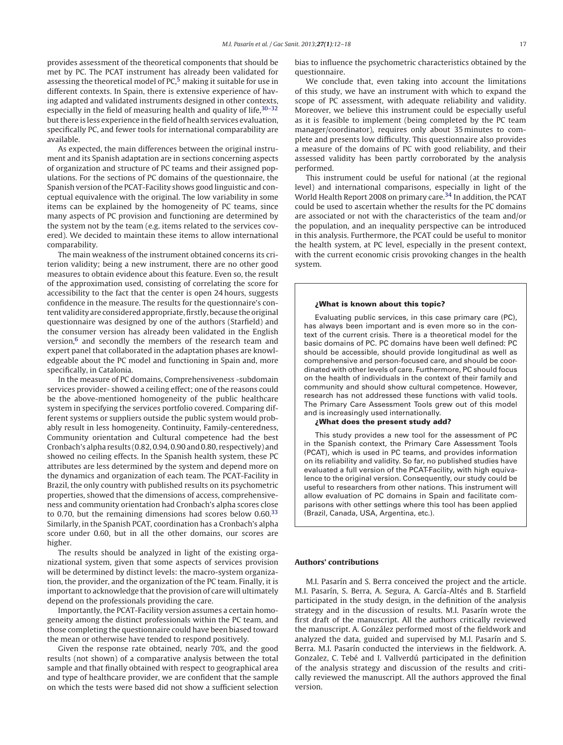provides assessment of the theoretical components that should be met by PC. The PCAT instrument has already been validated for assessing the theoretical model of PC,<sup>[5](#page-6-0)</sup> making it suitable for use in different contexts. In Spain, there is extensive experience of having adapted and validated instruments designed in other contexts, especially in the field of measuring health and quality of life,  $30-32$ but there is less experience in the field of health services evaluation, specifically PC, and fewer tools for international comparability are available.

As expected, the main differences between the original instrument and its Spanish adaptation are in sections concerning aspects of organization and structure of PC teams and their assigned populations. For the sections of PC domains of the questionnaire, the Spanish version of the PCAT-Facility shows good linguistic and conceptual equivalence with the original. The low variability in some items can be explained by the homogeneity of PC teams, since many aspects of PC provision and functioning are determined by the system not by the team (e.g. items related to the services covered). We decided to maintain these items to allow international comparability.

The main weakness of the instrument obtained concerns its criterion validity; being a new instrument, there are no other good measures to obtain evidence about this feature. Even so, the result of the approximation used, consisting of correlating the score for accessibility to the fact that the center is open 24 hours, suggests confidence in the measure. The results for the questionnaire's content validity are considered appropriate, firstly, because the original questionnaire was designed by one of the authors (Starfield) and the consumer version has already been validated in the English version, $6$  and secondly the members of the research team and expert panel that collaborated in the adaptation phases are knowledgeable about the PC model and functioning in Spain and, more specifically, in Catalonia.

In the measure of PC domains, Comprehensiveness -subdomain services provider- showed a ceiling effect; one of the reasons could be the above-mentioned homogeneity of the public healthcare system in specifying the services portfolio covered. Comparing different systems or suppliers outside the public system would probably result in less homogeneity. Continuity, Family-centeredness, Community orientation and Cultural competence had the best Cronbach's alpha results (0.82, 0.94, 0.90 and 0.80, respectively) and showed no ceiling effects. In the Spanish health system, these PC attributes are less determined by the system and depend more on the dynamics and organization of each team. The PCAT-Facility in Brazil, the only country with published results on its psychometric properties, showed that the dimensions of access, comprehensiveness and community orientation had Cronbach's alpha scores close to 0.70, but the remaining dimensions had scores below 0.60.<sup>[33](#page-6-0)</sup> Similarly, in the Spanish PCAT, coordination has a Cronbach's alpha score under 0.60, but in all the other domains, our scores are higher.

The results should be analyzed in light of the existing organizational system, given that some aspects of services provision will be determined by distinct levels: the macro-system organization, the provider, and the organization of the PC team. Finally, it is important to acknowledge that the provision of care will ultimately depend on the professionals providing the care.

Importantly, the PCAT-Facility version assumes a certain homogeneity among the distinct professionals within the PC team, and those completing the questionnaire could have been biased toward the mean or otherwise have tended to respond positively.

Given the response rate obtained, nearly 70%, and the good results (not shown) of a comparative analysis between the total sample and that finally obtained with respect to geographical area and type of healthcare provider, we are confident that the sample on which the tests were based did not show a sufficient selection bias to influence the psychometric characteristics obtained by the questionnaire.

We conclude that, even taking into account the limitations of this study, we have an instrument with which to expand the scope of PC assessment, with adequate reliability and validity. Moreover, we believe this instrument could be especially useful as it is feasible to implement (being completed by the PC team manager/coordinator), requires only about 35 minutes to complete and presents low difficulty. This questionnaire also provides a measure of the domains of PC with good reliability, and their assessed validity has been partly corroborated by the analysis performed.

This instrument could be useful for national (at the regional level) and international comparisons, especially in light of the World Health Report 2008 on primary care.<sup>34</sup> In addition, the PCAT could be used to ascertain whether the results for the PC domains are associated or not with the characteristics of the team and/or the population, and an inequality perspective can be introduced in this analysis. Furthermore, the PCAT could be useful to monitor the health system, at PC level, especially in the present context, with the current economic crisis provoking changes in the health system.

#### **¿What is known about this topic?**

Evaluating public services, in this case primary care (PC), has always been important and is even more so in the context of the current crisis. There is a theoretical model for the basic domains of PC. PC domains have been well defined: PC should be accessible, should provide longitudinal as well as comprehensive and person-focused care, and should be coordinated with other levels of care. Furthermore, PC should focus on the health of individuals in the context of their family and community and should show cultural competence. However, research has not addressed these functions with valid tools. The Primary Care Assessment Tools grew out of this model and is increasingly used internationally.

#### **¿What does the present study add?**

This study provides a new tool for the assessment of PC in the Spanish context, the Primary Care Assessment Tools (PCAT), which is used in PC teams, and provides information on its reliability and validity. So far, no published studies have evaluated a full version of the PCAT-Facility, with high equivalence to the original version. Consequently, our study could be useful to researchers from other nations. This instrument will allow evaluation of PC domains in Spain and facilitate comparisons with other settings where this tool has been applied (Brazil, Canada, USA, Argentina, etc.).

#### **Authors' contributions**

M.I. Pasarín and S. Berra conceived the project and the article. M.I. Pasarín, S. Berra, A. Segura, A. García-Altés and B. Starfield participated in the study design, in the definition of the analysis strategy and in the discussion of results. M.I. Pasarín wrote the first draft of the manuscript. All the authors critically reviewed the manuscript. A. González performed most of the fieldwork and analyzed the data, guided and supervised by M.I. Pasarín and S. Berra. M.I. Pasarín conducted the interviews in the fieldwork. A. Gonzalez, C. Tebé and I. Vallverdú participated in the definition of the analysis strategy and discussion of the results and critically reviewed the manuscript. All the authors approved the final version.